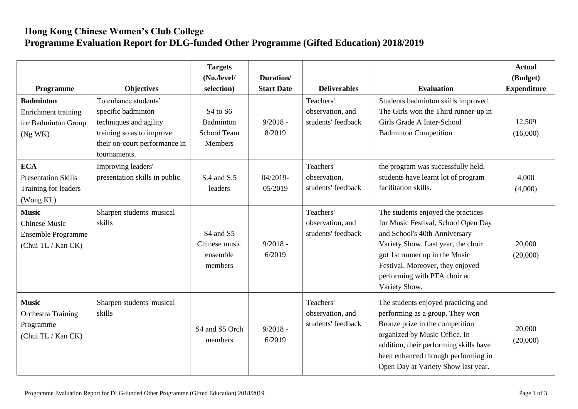## **Hong Kong Chinese Women's Club College Programme Evaluation Report for DLG-funded Other Programme (Gifted Education) 2018/2019**

| Programme                                                                        | <b>Objectives</b>                                                                                                                                  | <b>Targets</b><br>$(No$ ./level/<br>selection)                                 | Duration/<br><b>Start Date</b> | <b>Deliverables</b>                                 | <b>Evaluation</b>                                                                                                                                                                                                                                                       | <b>Actual</b><br>(Budget)<br><b>Expenditure</b> |
|----------------------------------------------------------------------------------|----------------------------------------------------------------------------------------------------------------------------------------------------|--------------------------------------------------------------------------------|--------------------------------|-----------------------------------------------------|-------------------------------------------------------------------------------------------------------------------------------------------------------------------------------------------------------------------------------------------------------------------------|-------------------------------------------------|
| <b>Badminton</b><br>Enrichment training<br>for Badminton Group<br>(Ng WK)        | To enhance students'<br>specific badminton<br>techniques and agility<br>training so as to improve<br>their on-court performance in<br>tournaments. | S <sub>4</sub> to S <sub>6</sub><br>Badminton<br><b>School Team</b><br>Members | $9/2018 -$<br>8/2019           | Teachers'<br>observation, and<br>students' feedback | Students badminton skills improved.<br>The Girls won the Third runner-up in<br>Girls Grade A Inter-School<br><b>Badminton Competition</b>                                                                                                                               | 12,509<br>(16,000)                              |
| <b>ECA</b><br><b>Presentation Skills</b><br>Training for leaders<br>(Wong KL)    | Improving leaders'<br>presentation skills in public                                                                                                | S.4 and S.5<br>leaders                                                         | 04/2019-<br>05/2019            | Teachers'<br>observation,<br>students' feedback     | the program was successfully held,<br>students have learnt lot of program<br>facilitation skills.                                                                                                                                                                       | 4,000<br>(4,000)                                |
| <b>Music</b><br><b>Chinese Music</b><br>Ensemble Programme<br>(Chui TL / Kan CK) | Sharpen students' musical<br>skills                                                                                                                | S <sub>4</sub> and S <sub>5</sub><br>Chinese music<br>ensemble<br>members      | $9/2018 -$<br>6/2019           | Teachers'<br>observation, and<br>students' feedback | The students enjoyed the practices<br>for Music Festival, School Open Day<br>and School's 40th Anniversary<br>Variety Show. Last year, the choir<br>got 1st runner up in the Music<br>Festival. Moreover, they enjoyed<br>performing with PTA choir at<br>Variety Show. | 20,000<br>(20,000)                              |
| <b>Music</b><br><b>Orchestra Training</b><br>Programme<br>(Chui TL / Kan CK)     | Sharpen students' musical<br>skills                                                                                                                | S4 and S5 Orch<br>members                                                      | $9/2018 -$<br>6/2019           | Teachers'<br>observation, and<br>students' feedback | The students enjoyed practicing and<br>performing as a group. They won<br>Bronze prize in the competition<br>organized by Music Office. In<br>addition, their performing skills have<br>been enhanced through performing in<br>Open Day at Variety Show last year.      | 20,000<br>(20,000)                              |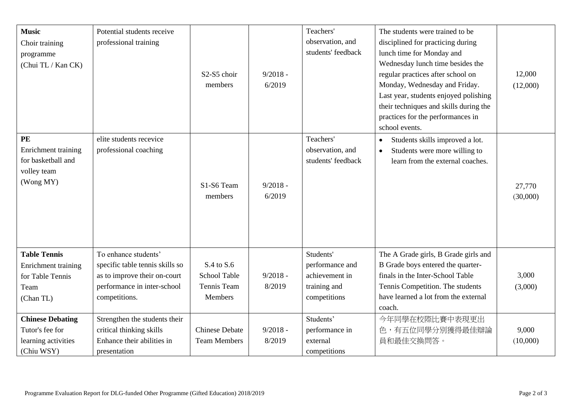| <b>Music</b><br>Choir training<br>programme<br>(Chui TL / Kan CK)                   | Potential students receive<br>professional training                                                                                     | S2-S5 choir<br>members                                      | $9/2018 -$<br>6/2019 | Teachers'<br>observation, and<br>students' feedback                            | The students were trained to be<br>disciplined for practicing during<br>lunch time for Monday and<br>Wednesday lunch time besides the<br>regular practices after school on<br>Monday, Wednesday and Friday.<br>Last year, students enjoyed polishing<br>their techniques and skills during the<br>practices for the performances in<br>school events. | 12,000<br>(12,000) |
|-------------------------------------------------------------------------------------|-----------------------------------------------------------------------------------------------------------------------------------------|-------------------------------------------------------------|----------------------|--------------------------------------------------------------------------------|-------------------------------------------------------------------------------------------------------------------------------------------------------------------------------------------------------------------------------------------------------------------------------------------------------------------------------------------------------|--------------------|
| PE<br>Enrichment training<br>for basketball and<br>volley team<br>(Wong MY)         | elite students recevice<br>professional coaching                                                                                        | S1-S6 Team<br>members                                       | $9/2018 -$<br>6/2019 | Teachers'<br>observation, and<br>students' feedback                            | Students skills improved a lot.<br>$\bullet$<br>Students were more willing to<br>$\bullet$<br>learn from the external coaches.                                                                                                                                                                                                                        | 27,770<br>(30,000) |
| <b>Table Tennis</b><br>Enrichment training<br>for Table Tennis<br>Team<br>(Chan TL) | To enhance students'<br>specific table tennis skills so<br>as to improve their on-court<br>performance in inter-school<br>competitions. | S.4 to S.6<br><b>School Table</b><br>Tennis Team<br>Members | $9/2018 -$<br>8/2019 | Students'<br>performance and<br>achievement in<br>training and<br>competitions | The A Grade girls, B Grade girls and<br>B Grade boys entered the quarter-<br>finals in the Inter-School Table<br>Tennis Competition. The students<br>have learned a lot from the external<br>coach.                                                                                                                                                   | 3,000<br>(3,000)   |
| <b>Chinese Debating</b><br>Tutor's fee for<br>learning activities<br>(Chiu WSY)     | Strengthen the students their<br>critical thinking skills<br>Enhance their abilities in<br>presentation                                 | <b>Chinese Debate</b><br><b>Team Members</b>                | $9/2018 -$<br>8/2019 | Students'<br>performance in<br>external<br>competitions                        | 今年同學在校際比賽中表現更出<br>色,有五位同學分別獲得最佳辯論<br>員和最佳交換問答。                                                                                                                                                                                                                                                                                                        | 9,000<br>(10,000)  |